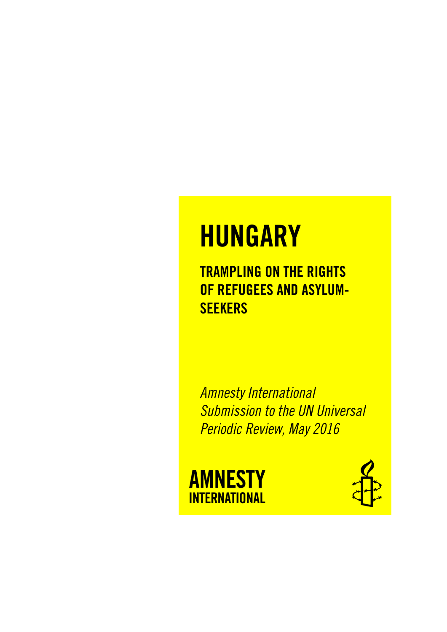# **HUNGARY**

**TRAMPLING ON THE RIGHTS OF REFUGEES AND ASYLUM-SEEKERS**

*Amnesty International Submission to the UN Universal Periodic Review, May 2016*



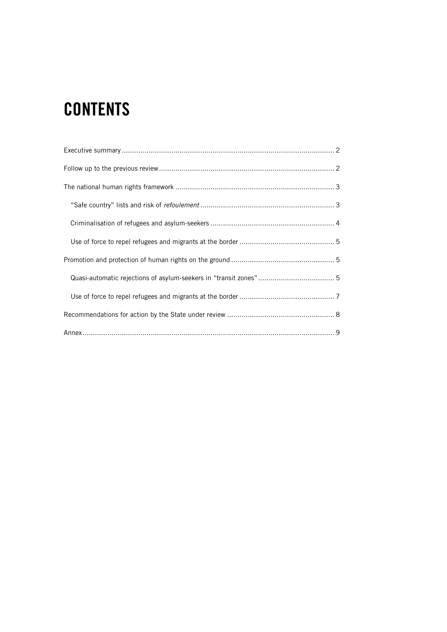# **CONTENTS**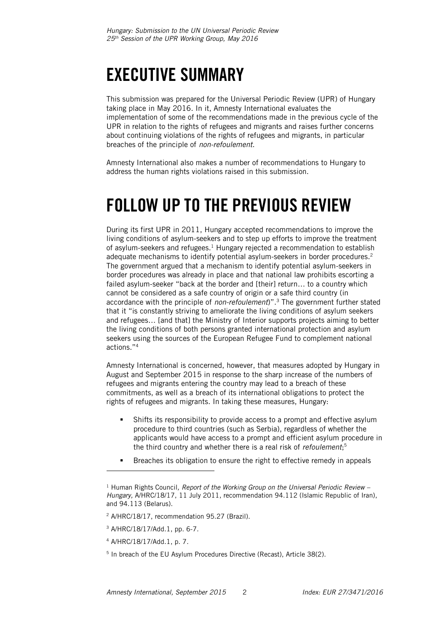## <span id="page-2-0"></span>**EXECUTIVE SUMMARY**

This submission was prepared for the Universal Periodic Review (UPR) of Hungary taking place in May 2016. In it, Amnesty International evaluates the implementation of some of the recommendations made in the previous cycle of the UPR in relation to the rights of refugees and migrants and raises further concerns about continuing violations of the rights of refugees and migrants, in particular breaches of the principle of *non-refoulement*.

Amnesty International also makes a number of recommendations to Hungary to address the human rights violations raised in this submission.

### <span id="page-2-1"></span>**FOLLOW UP TO THE PREVIOUS REVIEW**

During its first UPR in 2011, Hungary accepted recommendations to improve the living conditions of asylum-seekers and to step up efforts to improve the treatment of asylum-seekers and refugees.<sup>1</sup> Hungary rejected a recommendation to establish adequate mechanisms to identify potential asylum-seekers in border procedures. 2 The government argued that a mechanism to identify potential asylum-seekers in border procedures was already in place and that national law prohibits escorting a failed asylum-seeker "back at the border and [their] return… to a country which cannot be considered as a safe country of origin or a safe third country (in accordance with the principle of *non-refoulement*)".<sup>3</sup> The government further stated that it "is constantly striving to ameliorate the living conditions of asylum seekers and refugees… [and that] the Ministry of Interior supports projects aiming to better the living conditions of both persons granted international protection and asylum seekers using the sources of the European Refugee Fund to complement national actions."<sup>4</sup>

Amnesty International is concerned, however, that measures adopted by Hungary in August and September 2015 in response to the sharp increase of the numbers of refugees and migrants entering the country may lead to a breach of these commitments, as well as a breach of its international obligations to protect the rights of refugees and migrants. In taking these measures, Hungary:

- Shifts its responsibility to provide access to a prompt and effective asylum procedure to third countries (such as Serbia), regardless of whether the applicants would have access to a prompt and efficient asylum procedure in the third country and whether there is a real risk of *refoulement*; 5
- **Breaches its obligation to ensure the right to effective remedy in appeals**

j

<sup>1</sup> Human Rights Council*, Report of the Working Group on the Universal Periodic Review – Hungary,* A/HRC/18/17, 11 July 2011, recommendation 94.112 (Islamic Republic of Iran), and 94.113 (Belarus).

<sup>2</sup> A/HRC/18/17, recommendation 95.27 (Brazil).

<sup>3</sup> A/HRC/18/17/Add.1, pp. 6-7.

<sup>4</sup> A/HRC/18/17/Add.1, p. 7.

<sup>5</sup> In breach of the EU Asylum Procedures Directive (Recast), Article 38(2).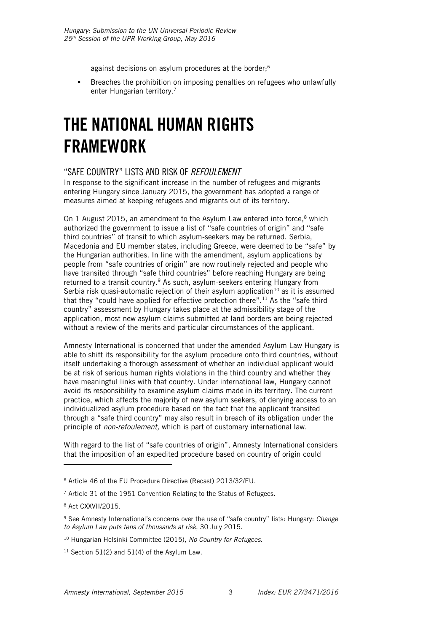against decisions on asylum procedures at the border;<sup>6</sup>

 Breaches the prohibition on imposing penalties on refugees who unlawfully enter Hungarian territory.<sup>7</sup>

### <span id="page-3-0"></span>**THE NATIONAL HUMAN RIGHTS FRAMEWORK**

#### <span id="page-3-1"></span>"SAFE COUNTRY" LISTS AND RISK OF *REFOULEMENT*

In response to the significant increase in the number of refugees and migrants entering Hungary since January 2015, the government has adopted a range of measures aimed at keeping refugees and migrants out of its territory.

On 1 August 2015, an amendment to the Asylum Law entered into force, $8$  which authorized the government to issue a list of "safe countries of origin" and "safe third countries" of transit to which asylum-seekers may be returned. Serbia, Macedonia and EU member states, including Greece, were deemed to be "safe" by the Hungarian authorities. In line with the amendment, asylum applications by people from "safe countries of origin" are now routinely rejected and people who have transited through "safe third countries" before reaching Hungary are being returned to a transit country.<sup>9</sup> As such, asylum-seekers entering Hungary from Serbia risk quasi-automatic rejection of their asylum application<sup>10</sup> as it is assumed that they "could have applied for effective protection there".<sup>11</sup> As the "safe third country" assessment by Hungary takes place at the admissibility stage of the application, most new asylum claims submitted at land borders are being rejected without a review of the merits and particular circumstances of the applicant.

Amnesty International is concerned that under the amended Asylum Law Hungary is able to shift its responsibility for the asylum procedure onto third countries, without itself undertaking a thorough assessment of whether an individual applicant would be at risk of serious human rights violations in the third country and whether they have meaningful links with that country. Under international law, Hungary cannot avoid its responsibility to examine asylum claims made in its territory. The current practice, which affects the majority of new asylum seekers, of denying access to an individualized asylum procedure based on the fact that the applicant transited through a "safe third country" may also result in breach of its obligation under the principle of *non-refoulement,* which is part of customary international law.

With regard to the list of "safe countries of origin", Amnesty International considers that the imposition of an expedited procedure based on country of origin could

ł

<sup>6</sup> Article 46 of the EU Procedure Directive (Recast) 2013/32/EU.

<sup>&</sup>lt;sup>7</sup> Article 31 of the 1951 Convention Relating to the Status of Refugees.

<sup>8</sup> Act CXXVII/2015.

<sup>9</sup> See Amnesty International's concerns over the use of "safe country" lists: Hungary: *Change to Asylum Law puts tens of thousands at risk*, 30 July 2015.

<sup>10</sup> Hungarian Helsinki Committee (2015), *No Country for Refugees*.

 $11$  Section 51(2) and 51(4) of the Asylum Law.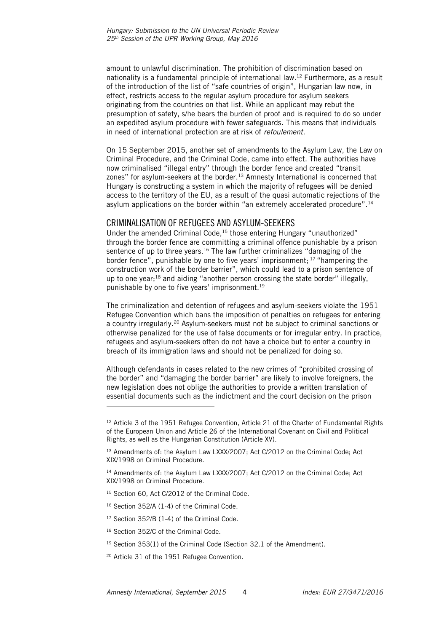amount to unlawful discrimination. The prohibition of discrimination based on nationality is a fundamental principle of international law.<sup>12</sup> Furthermore, as a result of the introduction of the list of "safe countries of origin", Hungarian law now, in effect, restricts access to the regular asylum procedure for asylum seekers originating from the countries on that list. While an applicant may rebut the presumption of safety, s/he bears the burden of proof and is required to do so under an expedited asylum procedure with fewer safeguards. This means that individuals in need of international protection are at risk of *refoulement*.

On 15 September 2015, another set of amendments to the Asylum Law, the Law on Criminal Procedure, and the Criminal Code, came into effect. The authorities have now criminalised "illegal entry" through the border fence and created "transit zones" for asylum-seekers at the border.<sup>13</sup> Amnesty International is concerned that Hungary is constructing a system in which the majority of refugees will be denied access to the territory of the EU, as a result of the quasi automatic rejections of the asylum applications on the border within "an extremely accelerated procedure".<sup>14</sup>

#### <span id="page-4-0"></span>CRIMINALISATION OF REFUGEES AND ASYLUM-SEEKERS

Under the amended Criminal Code,<sup>15</sup> those entering Hungary "unauthorized" through the border fence are committing a criminal offence punishable by a prison sentence of up to three years.<sup>16</sup> The law further criminalizes "damaging of the border fence", punishable by one to five years' imprisonment; <sup>17</sup> "hampering the construction work of the border barrier", which could lead to a prison sentence of up to one year; $^{18}$  and aiding "another person crossing the state border" illegally, punishable by one to five years' imprisonment.<sup>19</sup>

The criminalization and detention of refugees and asylum-seekers violate the 1951 Refugee Convention which bans the imposition of penalties on refugees for entering a country irregularly.<sup>20</sup> Asylum-seekers must not be subject to criminal sanctions or otherwise penalized for the use of false documents or for irregular entry. In practice, refugees and asylum-seekers often do not have a choice but to enter a country in breach of its immigration laws and should not be penalized for doing so.

Although defendants in cases related to the new crimes of "prohibited crossing of the border" and "damaging the border barrier" are likely to involve foreigners, the new legislation does not oblige the authorities to provide a written translation of essential documents such as the indictment and the court decision on the prison

l

<sup>&</sup>lt;sup>12</sup> Article 3 of the 1951 Refugee Convention, Article 21 of the Charter of Fundamental Rights of the European Union and Article 26 of the International Covenant on Civil and Political Rights, as well as the Hungarian Constitution (Article XV).

<sup>13</sup> Amendments of: the Asylum Law LXXX/2007; Act C/2012 on the Criminal Code; Act XIX/1998 on Criminal Procedure.

<sup>&</sup>lt;sup>14</sup> Amendments of: the Asylum Law LXXX/2007; Act C/2012 on the Criminal Code; Act XIX/1998 on Criminal Procedure.

<sup>&</sup>lt;sup>15</sup> Section 60, Act C/2012 of the Criminal Code.

<sup>16</sup> Section 352/A (1-4) of the Criminal Code.

<sup>&</sup>lt;sup>17</sup> Section 352/B (1-4) of the Criminal Code.

<sup>&</sup>lt;sup>18</sup> Section 352/C of the Criminal Code.

<sup>&</sup>lt;sup>19</sup> Section 353(1) of the Criminal Code (Section 32.1 of the Amendment).

<sup>20</sup> Article 31 of the 1951 Refugee Convention.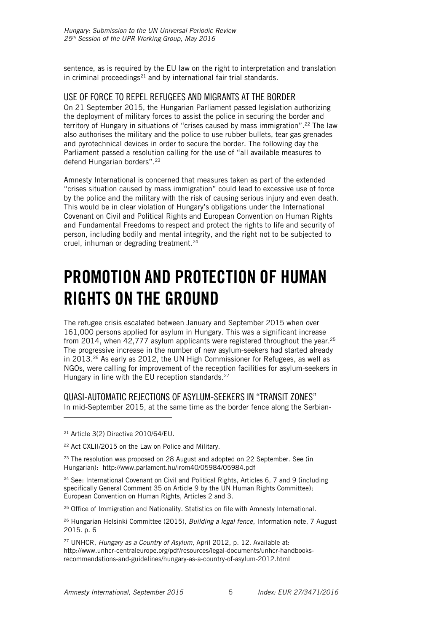sentence, as is required by the EU law on the right to interpretation and translation in criminal proceedings $21$  and by international fair trial standards.

#### <span id="page-5-0"></span>USE OF FORCE TO REPEL REFUGEES AND MIGRANTS AT THE BORDER

On 21 September 2015, the Hungarian Parliament passed legislation authorizing the deployment of military forces to assist the police in securing the border and territory of Hungary in situations of "crises caused by mass immigration".<sup>22</sup> The law also authorises the military and the police to use rubber bullets, tear gas grenades and pyrotechnical devices in order to secure the border. The following day the Parliament passed a resolution calling for the use of "all available measures to defend Hungarian borders".<sup>23</sup>

Amnesty International is concerned that measures taken as part of the extended "crises situation caused by mass immigration" could lead to excessive use of force by the police and the military with the risk of causing serious injury and even death. This would be in clear violation of Hungary's obligations under the International Covenant on Civil and Political Rights and European Convention on Human Rights and Fundamental Freedoms to respect and protect the rights to life and security of person, including bodily and mental integrity, and the right not to be subjected to cruel, inhuman or degrading treatment.<sup>24</sup>

### <span id="page-5-1"></span>**PROMOTION AND PROTECTION OF HUMAN RIGHTS ON THE GROUND**

The refugee crisis escalated between January and September 2015 when over 161,000 persons applied for asylum in Hungary. This was a significant increase from 2014, when 42,777 asylum applicants were registered throughout the year.<sup>25</sup> The progressive increase in the number of new asylum-seekers had started already in 2013. $26$  As early as 2012, the UN High Commissioner for Refugees, as well as NGOs, were calling for improvement of the reception facilities for asylum-seekers in Hungary in line with the EU reception standards.<sup>27</sup>

#### <span id="page-5-2"></span>QUASI-AUTOMATIC REJECTIONS OF ASYLUM-SEEKERS IN "TRANSIT ZONES"

In mid-September 2015, at the same time as the border fence along the Serbian-

<sup>21</sup> Article 3(2) Directive 2010/64/EU.

j

<sup>22</sup> Act CXLII/2015 on the Law on Police and Military.

 $23$  The resolution was proposed on 28 August and adopted on 22 September. See (in Hungarian): <http://www.parlament.hu/irom40/05984/05984.pdf>

<sup>24</sup> See: International Covenant on Civil and Political Rights, Articles 6, 7 and 9 (including specifically General Comment 35 on Article 9 by the UN Human Rights Committee); European Convention on Human Rights, Articles 2 and 3.

<sup>25</sup> Office of Immigration and Nationality. Statistics on file with Amnesty International.

<sup>26</sup> Hungarian Helsinki Committee (2015), *Building a legal fence*, Information note, 7 August 2015. p. 6

<sup>27</sup> UNHCR, *Hungary as a Country of Asylum*, April 2012, p. 12. Available at: [http://www.unhcr-centraleurope.org/pdf/resources/legal-documents/unhcr-handbooks](http://www.unhcr-centraleurope.org/pdf/resources/legal-documents/unhcr-handbooks-recommendations-and-guidelines/hungary-as-a-country-of-asylum-2012.html)[recommendations-and-guidelines/hungary-as-a-country-of-asylum-2012.html](http://www.unhcr-centraleurope.org/pdf/resources/legal-documents/unhcr-handbooks-recommendations-and-guidelines/hungary-as-a-country-of-asylum-2012.html)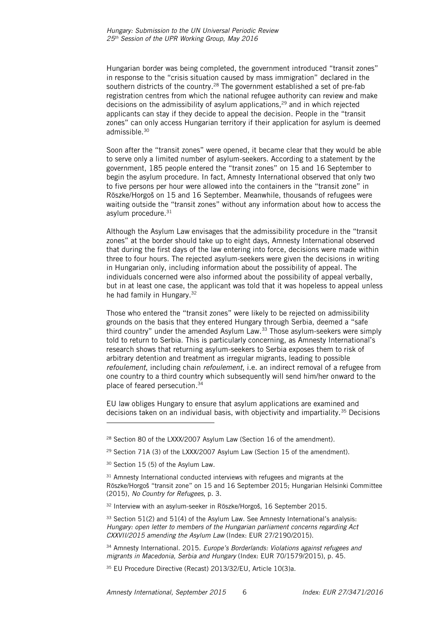Hungarian border was being completed, the government introduced "transit zones" in response to the "crisis situation caused by mass immigration" declared in the southern districts of the country. <sup>28</sup> The government established a set of pre-fab registration centres from which the national refugee authority can review and make decisions on the admissibility of asylum applications,<sup>29</sup> and in which rejected applicants can stay if they decide to appeal the decision. People in the "transit zones" can only access Hungarian territory if their application for asylum is deemed admissible.<sup>30</sup>

Soon after the "transit zones" were opened, it became clear that they would be able to serve only a limited number of asylum-seekers. According to a statement by the government, 185 people entered the "transit zones" on 15 and 16 September to begin the asylum procedure. In fact, Amnesty International observed that only two to five persons per hour were allowed into the containers in the "transit zone" in Röszke/Horgoš on 15 and 16 September. Meanwhile, thousands of refugees were waiting outside the "transit zones" without any information about how to access the asylum procedure.<sup>31</sup>

Although the Asylum Law envisages that the admissibility procedure in the "transit zones" at the border should take up to eight days, Amnesty International observed that during the first days of the law entering into force, decisions were made within three to four hours. The rejected asylum-seekers were given the decisions in writing in Hungarian only, including information about the possibility of appeal. The individuals concerned were also informed about the possibility of appeal verbally, but in at least one case, the applicant was told that it was hopeless to appeal unless he had family in Hungary.<sup>32</sup>

Those who entered the "transit zones" were likely to be rejected on admissibility grounds on the basis that they entered Hungary through Serbia, deemed a "safe third country" under the amended Asylum Law.<sup>33</sup> Those asylum-seekers were simply told to return to Serbia. This is particularly concerning, as Amnesty International's research shows that returning asylum-seekers to Serbia exposes them to risk of arbitrary detention and treatment as irregular migrants, leading to possible *refoulement*, including chain *refoulement*, i.e. an indirect removal of a refugee from one country to a third country which subsequently will send him/her onward to the place of feared persecution*.* 34

EU law obliges Hungary to ensure that asylum applications are examined and decisions taken on an individual basis, with objectivity and impartiality.<sup>35</sup> Decisions

l

<sup>&</sup>lt;sup>28</sup> Section 80 of the LXXX/2007 Asylum Law (Section 16 of the amendment).

<sup>&</sup>lt;sup>29</sup> Section 71A (3) of the LXXX/2007 Asylum Law (Section 15 of the amendment).

<sup>&</sup>lt;sup>30</sup> Section 15 (5) of the Asylum Law.

<sup>&</sup>lt;sup>31</sup> Amnesty International conducted interviews with refugees and migrants at the Röszke/Horgoš "transit zone" on 15 and 16 September 2015; Hungarian Helsinki Committee (2015), *No Country for Refugees*, p. 3.

<sup>32</sup> Interview with an asylum-seeker in Röszke/Horgoš, 16 September 2015.

 $33$  Section 51(2) and 51(4) of the Asylum Law. See Amnesty International's analysis: *Hungary: open letter to members of the Hungarian parliament concerns regarding Act CXXVII/2015 amending the Asylum Law* (Index: EUR 27/2190/2015).

<sup>34</sup> Amnesty International. 2015. *Europe's Borderlands: Violations against refugees and migrants in Macedonia, Serbia and Hungary* (Index: EUR 70/1579/2015), p. 45.

<sup>35</sup> EU Procedure Directive (Recast) 2013/32/EU, Article 10(3)a.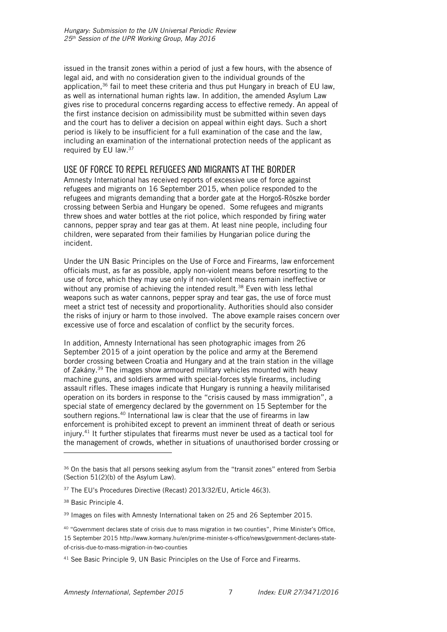issued in the transit zones within a period of just a few hours, with the absence of legal aid, and with no consideration given to the individual grounds of the application,<sup>36</sup> fail to meet these criteria and thus put Hungary in breach of EU law, as well as international human rights law. In addition, the amended Asylum Law gives rise to procedural concerns regarding access to effective remedy. An appeal of the first instance decision on admissibility must be submitted within seven days and the court has to deliver a decision on appeal within eight days. Such a short period is likely to be insufficient for a full examination of the case and the law, including an examination of the international protection needs of the applicant as required by EU law. $37$ 

#### <span id="page-7-0"></span>USE OF FORCE TO REPEL REFUGEES AND MIGRANTS AT THE BORDER

Amnesty International has received reports of excessive use of force against refugees and migrants on 16 September 2015, when police responded to the refugees and migrants demanding that a border gate at the Horgoš-Röszke border crossing between Serbia and Hungary be opened. Some refugees and migrants threw shoes and water bottles at the riot police, which responded by firing water cannons, pepper spray and tear gas at them. At least nine people, including four children, were separated from their families by Hungarian police during the incident.

Under the UN Basic Principles on the Use of Force and Firearms, law enforcement officials must, as far as possible, apply non-violent means before resorting to the use of force, which they may use only if non-violent means remain ineffective or without any promise of achieving the intended result.<sup>38</sup> Even with less lethal weapons such as water cannons, pepper spray and tear gas, the use of force must meet a strict test of necessity and proportionality. Authorities should also consider the risks of injury or harm to those involved. The above example raises concern over excessive use of force and escalation of conflict by the security forces.

In addition, Amnesty International has seen photographic images from 26 September 2015 of a joint operation by the police and army at the Beremend border crossing between Croatia and Hungary and at the train station in the village of Zakány.<sup>39</sup> The images show armoured military vehicles mounted with heavy machine guns, and soldiers armed with special-forces style firearms, including assault rifles. These images indicate that Hungary is running a heavily militarised operation on its borders in response to the "crisis caused by mass immigration", a special state of emergency declared by the government on 15 September for the southern regions.<sup>40</sup> International law is clear that the use of firearms in law enforcement is prohibited except to prevent an imminent threat of death or serious injury.<sup>41</sup> It further stipulates that firearms must never be used as a tactical tool for the management of crowds, whether in situations of unauthorised border crossing or

ł

<sup>&</sup>lt;sup>36</sup> On the basis that all persons seeking asylum from the "transit zones" entered from Serbia (Section 51(2)(b) of the Asylum Law).

<sup>&</sup>lt;sup>37</sup> The EU's Procedures Directive (Recast) 2013/32/EU, Article 46(3).

<sup>38</sup> Basic Principle 4.

<sup>&</sup>lt;sup>39</sup> Images on files with Amnesty International taken on 25 and 26 September 2015.

<sup>40</sup> "Government declares state of crisis due to mass migration in two counties", Prime Minister's Office, 15 September 2015 http://www.kormany.hu/en/prime-minister-s-office/news/government-declares-stateof-crisis-due-to-mass-migration-in-two-counties

<sup>&</sup>lt;sup>41</sup> See Basic Principle 9, UN Basic Principles on the Use of Force and Firearms.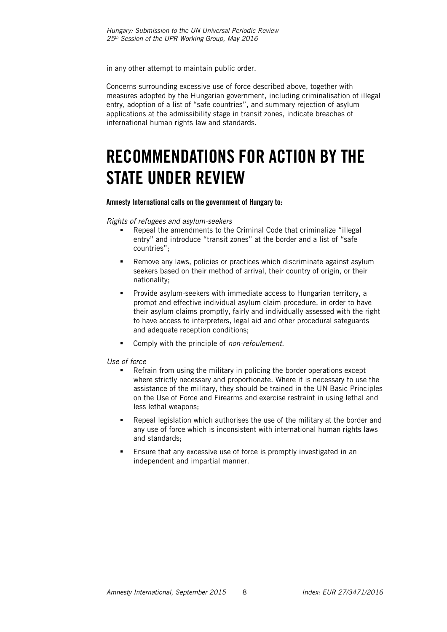in any other attempt to maintain public order.

Concerns surrounding excessive use of force described above, together with measures adopted by the Hungarian government, including criminalisation of illegal entry, adoption of a list of "safe countries", and summary rejection of asylum applications at the admissibility stage in transit zones, indicate breaches of international human rights law and standards.

## <span id="page-8-0"></span>**RECOMMENDATIONS FOR ACTION BY THE STATE UNDER REVIEW**

#### **Amnesty International calls on the government of Hungary to:**

*Rights of refugees and asylum-seekers*

- Repeal the amendments to the Criminal Code that criminalize "illegal entry" and introduce "transit zones" at the border and a list of "safe countries";
- Remove any laws, policies or practices which discriminate against asylum seekers based on their method of arrival, their country of origin, or their nationality;
- Provide asylum-seekers with immediate access to Hungarian territory, a prompt and effective individual asylum claim procedure, in order to have their asylum claims promptly, fairly and individually assessed with the right to have access to interpreters, legal aid and other procedural safeguards and adequate reception conditions;
- Comply with the principle of *non-refoulement*.

#### *Use of force*

- Refrain from using the military in policing the border operations except where strictly necessary and proportionate. Where it is necessary to use the assistance of the military, they should be trained in the UN Basic Principles on the Use of Force and Firearms and exercise restraint in using lethal and less lethal weapons;
- Repeal legislation which authorises the use of the military at the border and any use of force which is inconsistent with international human rights laws and standards;
- Ensure that any excessive use of force is promptly investigated in an independent and impartial manner.